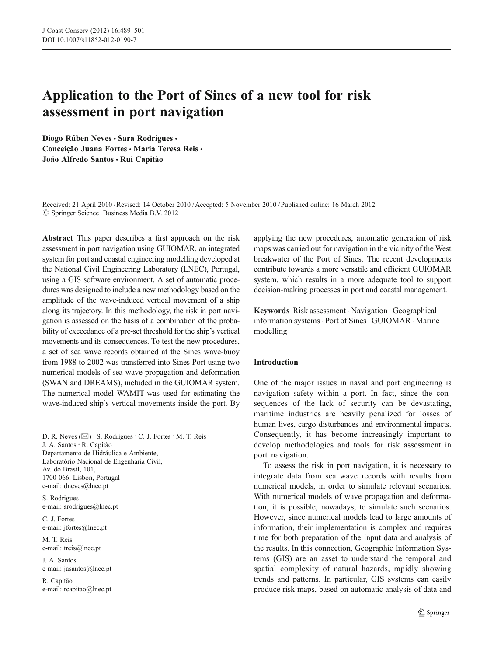# Application to the Port of Sines of a new tool for risk assessment in port navigation

Diogo Rúben Neves · Sara Rodrigues · Conceição Juana Fortes · Maria Teresa Reis · João Alfredo Santos · Rui Capitão

Received: 21 April 2010 /Revised: 14 October 2010 /Accepted: 5 November 2010 / Published online: 16 March 2012  $\oslash$  Springer Science+Business Media B.V. 2012

Abstract This paper describes a first approach on the risk assessment in port navigation using GUIOMAR, an integrated system for port and coastal engineering modelling developed at the National Civil Engineering Laboratory (LNEC), Portugal, using a GIS software environment. A set of automatic procedures was designed to include a new methodology based on the amplitude of the wave-induced vertical movement of a ship along its trajectory. In this methodology, the risk in port navigation is assessed on the basis of a combination of the probability of exceedance of a pre-set threshold for the ship's vertical movements and its consequences. To test the new procedures, a set of sea wave records obtained at the Sines wave-buoy from 1988 to 2002 was transferred into Sines Port using two numerical models of sea wave propagation and deformation (SWAN and DREAMS), included in the GUIOMAR system. The numerical model WAMIT was used for estimating the wave-induced ship's vertical movements inside the port. By

D. R. Neves ( $\boxtimes$ ) · S. Rodrigues · C. J. Fortes · M. T. Reis · J. A. Santos: R. Capitão Departamento de Hidráulica e Ambiente, Laboratório Nacional de Engenharia Civil, Av. do Brasil, 101, 1700-066, Lisbon, Portugal e-mail: dneves@lnec.pt S. Rodrigues

e-mail: srodrigues@lnec.pt

C. J. Fortes e-mail: jfortes@lnec.pt

M. T. Reis e-mail: treis@lnec.pt

J. A. Santos e-mail: jasantos@lnec.pt

R. Capitão e-mail: rcapitao@lnec.pt

applying the new procedures, automatic generation of risk maps was carried out for navigation in the vicinity of the West breakwater of the Port of Sines. The recent developments contribute towards a more versatile and efficient GUIOMAR system, which results in a more adequate tool to support decision-making processes in port and coastal management.

Keywords Risk assessment . Navigation . Geographical information systems. Port of Sines. GUIOMAR . Marine modelling

# Introduction

One of the major issues in naval and port engineering is navigation safety within a port. In fact, since the consequences of the lack of security can be devastating, maritime industries are heavily penalized for losses of human lives, cargo disturbances and environmental impacts. Consequently, it has become increasingly important to develop methodologies and tools for risk assessment in port navigation.

To assess the risk in port navigation, it is necessary to integrate data from sea wave records with results from numerical models, in order to simulate relevant scenarios. With numerical models of wave propagation and deformation, it is possible, nowadays, to simulate such scenarios. However, since numerical models lead to large amounts of information, their implementation is complex and requires time for both preparation of the input data and analysis of the results. In this connection, Geographic Information Systems (GIS) are an asset to understand the temporal and spatial complexity of natural hazards, rapidly showing trends and patterns. In particular, GIS systems can easily produce risk maps, based on automatic analysis of data and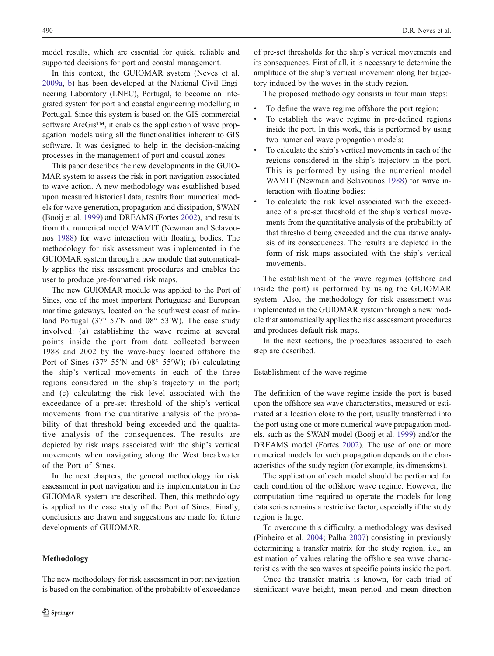<span id="page-1-0"></span>model results, which are essential for quick, reliable and supported decisions for port and coastal management.

In this context, the GUIOMAR system (Neves et al. [2009a](#page-12-0), [b\)](#page-12-0) has been developed at the National Civil Engineering Laboratory (LNEC), Portugal, to become an integrated system for port and coastal engineering modelling in Portugal. Since this system is based on the GIS commercial software ArcGis<sup>™</sup>, it enables the application of wave propagation models using all the functionalities inherent to GIS software. It was designed to help in the decision-making processes in the management of port and coastal zones.

This paper describes the new developments in the GUIO-MAR system to assess the risk in port navigation associated to wave action. A new methodology was established based upon measured historical data, results from numerical models for wave generation, propagation and dissipation, SWAN (Booij et al. [1999\)](#page-12-0) and DREAMS (Fortes [2002](#page-12-0)), and results from the numerical model WAMIT (Newman and Sclavounos [1988](#page-12-0)) for wave interaction with floating bodies. The methodology for risk assessment was implemented in the GUIOMAR system through a new module that automatically applies the risk assessment procedures and enables the user to produce pre-formatted risk maps.

The new GUIOMAR module was applied to the Port of Sines, one of the most important Portuguese and European maritime gateways, located on the southwest coast of mainland Portugal (37° 57′N and 08° 53′W). The case study involved: (a) establishing the wave regime at several points inside the port from data collected between 1988 and 2002 by the wave-buoy located offshore the Port of Sines (37° 55′N and 08° 55′W); (b) calculating the ship's vertical movements in each of the three regions considered in the ship's trajectory in the port; and (c) calculating the risk level associated with the exceedance of a pre-set threshold of the ship's vertical movements from the quantitative analysis of the probability of that threshold being exceeded and the qualitative analysis of the consequences. The results are depicted by risk maps associated with the ship's vertical movements when navigating along the West breakwater of the Port of Sines.

In the next chapters, the general methodology for risk assessment in port navigation and its implementation in the GUIOMAR system are described. Then, this methodology is applied to the case study of the Port of Sines. Finally, conclusions are drawn and suggestions are made for future developments of GUIOMAR.

The new methodology for risk assessment in port navigation is based on the combination of the probability of exceedance

## Methodology

of pre-set thresholds for the ship's vertical movements and its consequences. First of all, it is necessary to determine the amplitude of the ship's vertical movement along her trajectory induced by the waves in the study region.

The proposed methodology consists in four main steps:

- To define the wave regime offshore the port region;
- To establish the wave regime in pre-defined regions inside the port. In this work, this is performed by using two numerical wave propagation models;
- & To calculate the ship's vertical movements in each of the regions considered in the ship's trajectory in the port. This is performed by using the numerical model WAMIT (Newman and Sclavounos [1988](#page-12-0)) for wave interaction with floating bodies;
- To calculate the risk level associated with the exceedance of a pre-set threshold of the ship's vertical movements from the quantitative analysis of the probability of that threshold being exceeded and the qualitative analysis of its consequences. The results are depicted in the form of risk maps associated with the ship's vertical movements.

The establishment of the wave regimes (offshore and inside the port) is performed by using the GUIOMAR system. Also, the methodology for risk assessment was implemented in the GUIOMAR system through a new module that automatically applies the risk assessment procedures and produces default risk maps.

In the next sections, the procedures associated to each step are described.

# Establishment of the wave regime

The definition of the wave regime inside the port is based upon the offshore sea wave characteristics, measured or estimated at a location close to the port, usually transferred into the port using one or more numerical wave propagation models, such as the SWAN model (Booij et al. [1999](#page-12-0)) and/or the DREAMS model (Fortes [2002](#page-12-0)). The use of one or more numerical models for such propagation depends on the characteristics of the study region (for example, its dimensions).

The application of each model should be performed for each condition of the offshore wave regime. However, the computation time required to operate the models for long data series remains a restrictive factor, especially if the study region is large.

To overcome this difficulty, a methodology was devised (Pinheiro et al. [2004;](#page-12-0) Palha [2007](#page-12-0)) consisting in previously determining a transfer matrix for the study region, i.e., an estimation of values relating the offshore sea wave characteristics with the sea waves at specific points inside the port.

Once the transfer matrix is known, for each triad of significant wave height, mean period and mean direction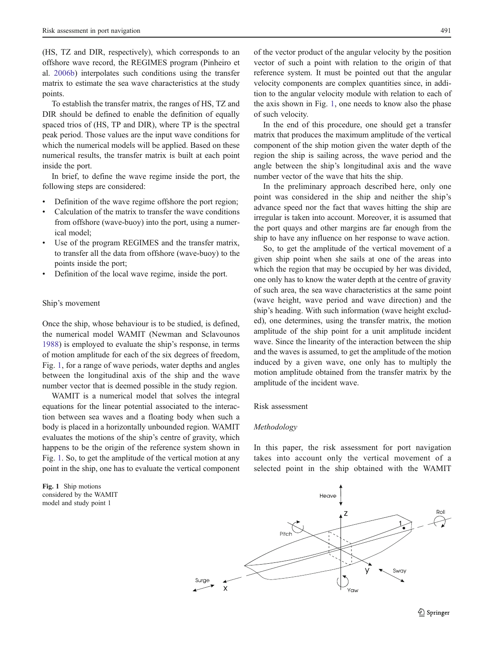<span id="page-2-0"></span>(HS, TZ and DIR, respectively), which corresponds to an offshore wave record, the REGIMES program (Pinheiro et al. [2006b](#page-12-0)) interpolates such conditions using the transfer matrix to estimate the sea wave characteristics at the study points.

To establish the transfer matrix, the ranges of HS, TZ and DIR should be defined to enable the definition of equally spaced trios of (HS, TP and DIR), where TP is the spectral peak period. Those values are the input wave conditions for which the numerical models will be applied. Based on these numerical results, the transfer matrix is built at each point inside the port.

In brief, to define the wave regime inside the port, the following steps are considered:

- Definition of the wave regime offshore the port region;
- Calculation of the matrix to transfer the wave conditions from offshore (wave-buoy) into the port, using a numerical model;
- Use of the program REGIMES and the transfer matrix, to transfer all the data from offshore (wave-buoy) to the points inside the port;
- Definition of the local wave regime, inside the port.

#### Ship's movement

Once the ship, whose behaviour is to be studied, is defined, the numerical model WAMIT (Newman and Sclavounos [1988\)](#page-12-0) is employed to evaluate the ship's response, in terms of motion amplitude for each of the six degrees of freedom, Fig. 1, for a range of wave periods, water depths and angles between the longitudinal axis of the ship and the wave number vector that is deemed possible in the study region.

WAMIT is a numerical model that solves the integral equations for the linear potential associated to the interaction between sea waves and a floating body when such a body is placed in a horizontally unbounded region. WAMIT evaluates the motions of the ship's centre of gravity, which happens to be the origin of the reference system shown in Fig. 1. So, to get the amplitude of the vertical motion at any point in the ship, one has to evaluate the vertical component

Fig. 1 Ship motions considered by the WAMIT model and study point 1

of the vector product of the angular velocity by the position vector of such a point with relation to the origin of that reference system. It must be pointed out that the angular velocity components are complex quantities since, in addition to the angular velocity module with relation to each of the axis shown in Fig. 1, one needs to know also the phase of such velocity.

In the end of this procedure, one should get a transfer matrix that produces the maximum amplitude of the vertical component of the ship motion given the water depth of the region the ship is sailing across, the wave period and the angle between the ship's longitudinal axis and the wave number vector of the wave that hits the ship.

In the preliminary approach described here, only one point was considered in the ship and neither the ship's advance speed nor the fact that waves hitting the ship are irregular is taken into account. Moreover, it is assumed that the port quays and other margins are far enough from the ship to have any influence on her response to wave action.

So, to get the amplitude of the vertical movement of a given ship point when she sails at one of the areas into which the region that may be occupied by her was divided, one only has to know the water depth at the centre of gravity of such area, the sea wave characteristics at the same point (wave height, wave period and wave direction) and the ship's heading. With such information (wave height excluded), one determines, using the transfer matrix, the motion amplitude of the ship point for a unit amplitude incident wave. Since the linearity of the interaction between the ship and the waves is assumed, to get the amplitude of the motion induced by a given wave, one only has to multiply the motion amplitude obtained from the transfer matrix by the amplitude of the incident wave.

#### Risk assessment

#### Methodology

In this paper, the risk assessment for port navigation takes into account only the vertical movement of a selected point in the ship obtained with the WAMIT

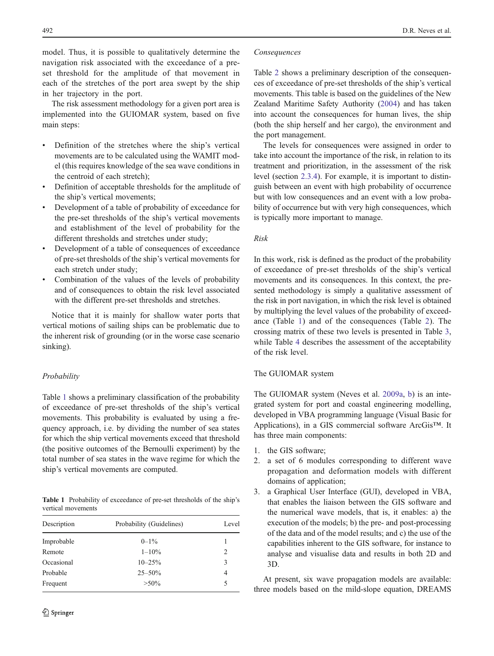<span id="page-3-0"></span>model. Thus, it is possible to qualitatively determine the navigation risk associated with the exceedance of a preset threshold for the amplitude of that movement in each of the stretches of the port area swept by the ship in her trajectory in the port.

The risk assessment methodology for a given port area is implemented into the GUIOMAR system, based on five main steps:

- & Definition of the stretches where the ship's vertical movements are to be calculated using the WAMIT model (this requires knowledge of the sea wave conditions in the centroid of each stretch);
- & Definition of acceptable thresholds for the amplitude of the ship's vertical movements;
- Development of a table of probability of exceedance for the pre-set thresholds of the ship's vertical movements and establishment of the level of probability for the different thresholds and stretches under study;
- Development of a table of consequences of exceedance of pre-set thresholds of the ship's vertical movements for each stretch under study;
- Combination of the values of the levels of probability and of consequences to obtain the risk level associated with the different pre-set thresholds and stretches.

Notice that it is mainly for shallow water ports that vertical motions of sailing ships can be problematic due to the inherent risk of grounding (or in the worse case scenario sinking).

## Probability

Table 1 shows a preliminary classification of the probability of exceedance of pre-set thresholds of the ship's vertical movements. This probability is evaluated by using a frequency approach, i.e. by dividing the number of sea states for which the ship vertical movements exceed that threshold (the positive outcomes of the Bernoulli experiment) by the total number of sea states in the wave regime for which the ship's vertical movements are computed.

Table 1 Probability of exceedance of pre-set thresholds of the ship's vertical movements

| Description | Probability (Guidelines) | Level |
|-------------|--------------------------|-------|
| Improbable  | $0 - 1\%$                |       |
| Remote      | $1 - 10\%$               | 2     |
| Occasional  | $10 - 25%$               | 3     |
| Probable    | $25 - 50%$               | 4     |
| Frequent    | $>50\%$                  |       |

## **Consequences**

Table [2](#page-4-0) shows a preliminary description of the consequences of exceedance of pre-set thresholds of the ship's vertical movements. This table is based on the guidelines of the New Zealand Maritime Safety Authority ([2004\)](#page-12-0) and has taken into account the consequences for human lives, the ship (both the ship herself and her cargo), the environment and the port management.

The levels for consequences were assigned in order to take into account the importance of the risk, in relation to its treatment and prioritization, in the assessment of the risk level (section 2.3.4). For example, it is important to distinguish between an event with high probability of occurrence but with low consequences and an event with a low probability of occurrence but with very high consequences, which is typically more important to manage.

# Risk

In this work, risk is defined as the product of the probability of exceedance of pre-set thresholds of the ship's vertical movements and its consequences. In this context, the presented methodology is simply a qualitative assessment of the risk in port navigation, in which the risk level is obtained by multiplying the level values of the probability of exceedance (Table 1) and of the consequences (Table [2](#page-4-0)). The crossing matrix of these two levels is presented in Table [3,](#page-4-0) while Table [4](#page-4-0) describes the assessment of the acceptability of the risk level.

## The GUIOMAR system

The GUIOMAR system (Neves et al. [2009a,](#page-12-0) [b\)](#page-12-0) is an integrated system for port and coastal engineering modelling, developed in VBA programming language (Visual Basic for Applications), in a GIS commercial software ArcGis™. It has three main components:

- 1. the GIS software;
- 2. a set of 6 modules corresponding to different wave propagation and deformation models with different domains of application;
- 3. a Graphical User Interface (GUI), developed in VBA, that enables the liaison between the GIS software and the numerical wave models, that is, it enables: a) the execution of the models; b) the pre- and post-processing of the data and of the model results; and c) the use of the capabilities inherent to the GIS software, for instance to analyse and visualise data and results in both 2D and 3D.

At present, six wave propagation models are available: three models based on the mild-slope equation, DREAMS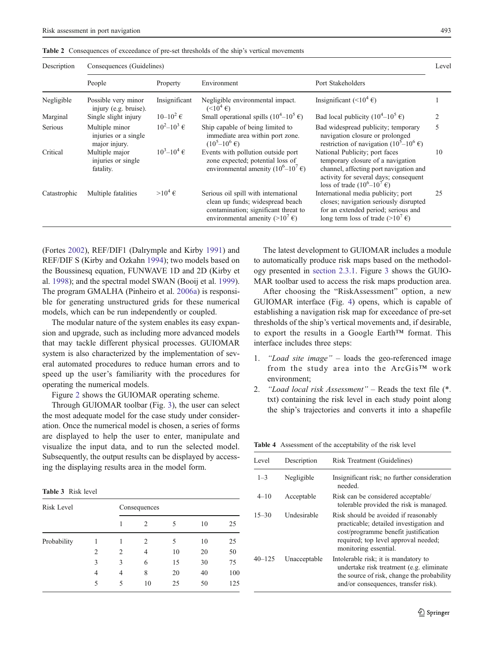<span id="page-4-0"></span>Table 2 Consequences of exceedance of pre-set thresholds of the ship's vertical movements

| Description  | Consequences (Guidelines)                               |                   |                                                                                                                                                                     |                                                                                                                                                                                                   |                |  |
|--------------|---------------------------------------------------------|-------------------|---------------------------------------------------------------------------------------------------------------------------------------------------------------------|---------------------------------------------------------------------------------------------------------------------------------------------------------------------------------------------------|----------------|--|
|              | People<br>Property                                      |                   | Environment                                                                                                                                                         | Port Stakeholders                                                                                                                                                                                 |                |  |
| Negligible   | Possible very minor<br>injury (e.g. bruise).            | Insignificant     | Negligible environmental impact.<br>$(<10^4 \text{ } \in)$                                                                                                          | Insignificant $(\leq 10^4 \text{ E})$                                                                                                                                                             |                |  |
| Marginal     | Single slight injury                                    | $10 - 10^2 \in$   | Small operational spills $(10^4 - 10^5 \text{ E})$                                                                                                                  | Bad local publicity $(10^4 - 10^5 \text{ } \epsilon)$                                                                                                                                             | $\overline{c}$ |  |
| Serious      | Multiple minor<br>injuries or a single<br>major injury. | $10^2 - 10^3 \in$ | Ship capable of being limited to<br>immediate area within port zone.<br>$(10^5 - 10^6 \text{ } \in)$                                                                | Bad widespread publicity; temporary<br>navigation closure or prolonged<br>restriction of navigation $(10^5 - 10^6 \epsilon)$                                                                      | 5              |  |
| Critical     | Multiple major<br>injuries or single<br>fatality.       | $10^3 - 10^4 \in$ | Events with pollution outside port<br>zone expected; potential loss of<br>environmental amenity $(10^6 - 10^7 \text{ } \epsilon)$                                   | National Publicity; port faces<br>temporary closure of a navigation<br>channel, affecting port navigation and<br>activity for several days; consequent<br>loss of trade $(10^6 - 10^7 \text{ E})$ | 10             |  |
| Catastrophic | Multiple fatalities                                     | $>10^4$ €         | Serious oil spill with international<br>clean up funds; widespread beach<br>contamination; significant threat to<br>environmental amenity (>10 <sup>7</sup> $\in$ ) | International media publicity; port<br>closes; navigation seriously disrupted<br>for an extended period; serious and<br>long term loss of trade (>10 <sup>7</sup> $\epsilon$ )                    | 25             |  |

(Fortes [2002](#page-12-0)), REF/DIF1 (Dalrymple and Kirby [1991](#page-12-0)) and REF/DIF S (Kirby and Ozkahn [1994](#page-12-0)); two models based on the Boussinesq equation, FUNWAVE 1D and 2D (Kirby et al. [1998](#page-12-0)); and the spectral model SWAN (Booij et al. [1999](#page-12-0)). The program GMALHA (Pinheiro et al. [2006a\)](#page-12-0) is responsible for generating unstructured grids for these numerical models, which can be run independently or coupled.

The modular nature of the system enables its easy expansion and upgrade, such as including more advanced models that may tackle different physical processes. GUIOMAR system is also characterized by the implementation of several automated procedures to reduce human errors and to speed up the user's familiarity with the procedures for operating the numerical models.

Figure [2](#page-5-0) shows the GUIOMAR operating scheme.

Through GUIOMAR toolbar (Fig. [3](#page-5-0)), the user can select the most adequate model for the case study under consideration. Once the numerical model is chosen, a series of forms are displayed to help the user to enter, manipulate and visualize the input data, and to run the selected model. Subsequently, the output results can be displayed by accessing the displaying results area in the model form.

Table 3 Risk level

| Risk Level  |   |   | Consequences   |    |    |     |  |  |
|-------------|---|---|----------------|----|----|-----|--|--|
|             |   |   | 2              | 5  | 10 | 25  |  |  |
| Probability | 1 |   | 2              | 5  | 10 | 25  |  |  |
|             | 2 | 2 | $\overline{4}$ | 10 | 20 | 50  |  |  |
|             | 3 | 3 | 6              | 15 | 30 | 75  |  |  |
|             | 4 | 4 | 8              | 20 | 40 | 100 |  |  |
|             | 5 | 5 | 10             | 25 | 50 | 125 |  |  |

The latest development to GUIOMAR includes a module to automatically produce risk maps based on the methodology presented in [section 2.3.1.](#page-2-0) Figure [3](#page-5-0) shows the GUIO-MAR toolbar used to access the risk maps production area.

After choosing the "RiskAssessment" option, a new GUIOMAR interface (Fig. [4\)](#page-5-0) opens, which is capable of establishing a navigation risk map for exceedance of pre-set thresholds of the ship's vertical movements and, if desirable, to export the results in a Google Earth™ format. This interface includes three steps:

- "Load site image"  $-$  loads the geo-referenced image from the study area into the ArcGis™ work environment;
- 2. "Load local risk Assessment" Reads the text file (\*. txt) containing the risk level in each study point along the ship's trajectories and converts it into a shapefile

Table 4 Assessment of the acceptability of the risk level

| Level      | Description        | Risk Treatment (Guidelines)                                                                                                                                                              |
|------------|--------------------|------------------------------------------------------------------------------------------------------------------------------------------------------------------------------------------|
| $1 - 3$    | Negligible         | Insignificant risk; no further consideration<br>needed.                                                                                                                                  |
| $4 - 10$   | Acceptable         | Risk can be considered acceptable/<br>tolerable provided the risk is managed.                                                                                                            |
| $15 - 30$  | <b>Undesirable</b> | Risk should be avoided if reasonably<br>practicable; detailed investigation and<br>cost/programme benefit justification<br>required; top level approval needed;<br>monitoring essential. |
| $40 - 125$ | Unacceptable       | Intolerable risk; it is mandatory to<br>undertake risk treatment (e.g. eliminate<br>the source of risk, change the probability<br>and/or consequences, transfer risk).                   |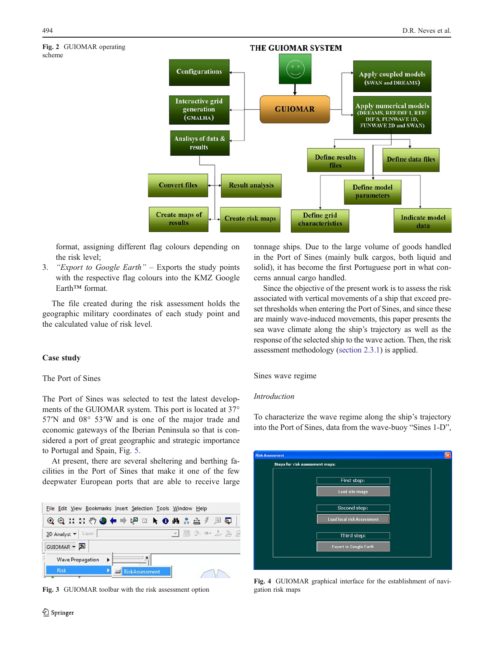## <span id="page-5-0"></span>Fig. 2 GUIOMAR operating scheme



format, assigning different flag colours depending on the risk level;

3. "Export to Google Earth" – Exports the study points with the respective flag colours into the KMZ Google Earth™ format.

The file created during the risk assessment holds the geographic military coordinates of each study point and the calculated value of risk level.

# Case study

# The Port of Sines

The Port of Sines was selected to test the latest developments of the GUIOMAR system. This port is located at 37° 57′N and 08° 53′W and is one of the major trade and economic gateways of the Iberian Peninsula so that is considered a port of great geographic and strategic importance to Portugal and Spain, Fig. [5](#page-6-0).

At present, there are several sheltering and berthing facilities in the Port of Sines that make it one of the few deepwater European ports that are able to receive large



Fig. 3 GUIOMAR toolbar with the risk assessment option

tonnage ships. Due to the large volume of goods handled in the Port of Sines (mainly bulk cargos, both liquid and solid), it has become the first Portuguese port in what concerns annual cargo handled.

Since the objective of the present work is to assess the risk associated with vertical movements of a ship that exceed preset thresholds when entering the Port of Sines, and since these are mainly wave-induced movements, this paper presents the sea wave climate along the ship's trajectory as well as the response of the selected ship to the wave action. Then, the risk assessment methodology ([section 2.3.1](#page-2-0)) is applied.

Sines wave regime

# Introduction

To characterize the wave regime along the ship's trajectory into the Port of Sines, data from the wave-buoy "Sines 1-D",



Fig. 4 GUIOMAR graphical interface for the establishment of navigation risk maps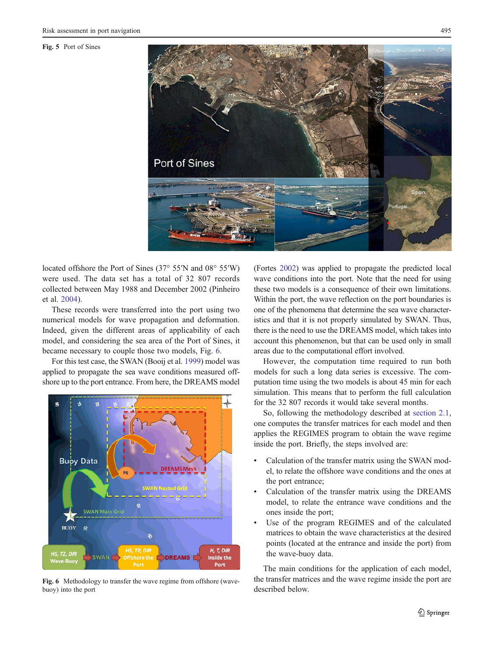<span id="page-6-0"></span>



located offshore the Port of Sines (37° 55′N and 08° 55′W) were used. The data set has a total of 32 807 records collected between May 1988 and December 2002 (Pinheiro et al. [2004\)](#page-12-0).

These records were transferred into the port using two numerical models for wave propagation and deformation. Indeed, given the different areas of applicability of each model, and considering the sea area of the Port of Sines, it became necessary to couple those two models, Fig. 6.

For this test case, the SWAN (Booij et al. [1999](#page-12-0)) model was applied to propagate the sea wave conditions measured offshore up to the port entrance. From here, the DREAMS model



Fig. 6 Methodology to transfer the wave regime from offshore (wavebuoy) into the port

(Fortes [2002\)](#page-12-0) was applied to propagate the predicted local wave conditions into the port. Note that the need for using these two models is a consequence of their own limitations. Within the port, the wave reflection on the port boundaries is one of the phenomena that determine the sea wave characteristics and that it is not properly simulated by SWAN. Thus, there is the need to use the DREAMS model, which takes into account this phenomenon, but that can be used only in small areas due to the computational effort involved.

However, the computation time required to run both models for such a long data series is excessive. The computation time using the two models is about 45 min for each simulation. This means that to perform the full calculation for the 32 807 records it would take several months.

So, following the methodology described at [section 2.1,](#page-1-0) one computes the transfer matrices for each model and then applies the REGIMES program to obtain the wave regime inside the port. Briefly, the steps involved are:

- Calculation of the transfer matrix using the SWAN model, to relate the offshore wave conditions and the ones at the port entrance;
- Calculation of the transfer matrix using the DREAMS model, to relate the entrance wave conditions and the ones inside the port;
- Use of the program REGIMES and of the calculated matrices to obtain the wave characteristics at the desired points (located at the entrance and inside the port) from the wave-buoy data.

The main conditions for the application of each model, the transfer matrices and the wave regime inside the port are described below.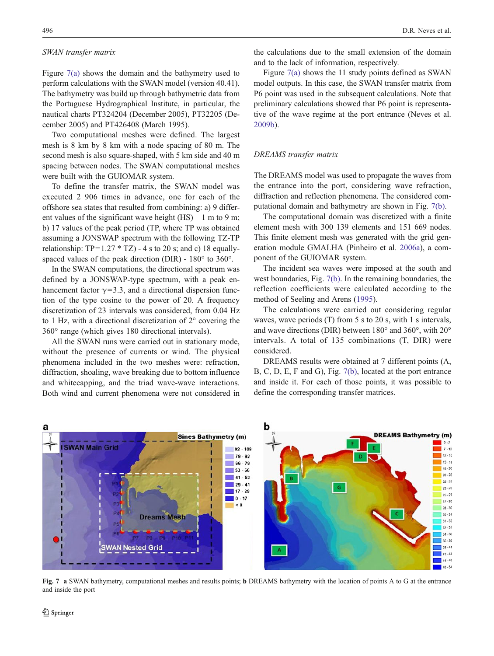## SWAN transfer matrix

Figure 7(a) shows the domain and the bathymetry used to perform calculations with the SWAN model (version 40.41). The bathymetry was build up through bathymetric data from the Portuguese Hydrographical Institute, in particular, the nautical charts PT324204 (December 2005), PT32205 (December 2005) and PT426408 (March 1995).

Two computational meshes were defined. The largest mesh is 8 km by 8 km with a node spacing of 80 m. The second mesh is also square-shaped, with 5 km side and 40 m spacing between nodes. The SWAN computational meshes were built with the GUIOMAR system.

To define the transfer matrix, the SWAN model was executed 2 906 times in advance, one for each of the offshore sea states that resulted from combining: a) 9 different values of the significant wave height  $(HS) - 1$  m to 9 m; b) 17 values of the peak period (TP, where TP was obtained assuming a JONSWAP spectrum with the following TZ-TP relationship:  $TP=1.27 * TZ$  - 4 s to 20 s; and c) 18 equallyspaced values of the peak direction (DIR) - 180° to 360°.

In the SWAN computations, the directional spectrum was defined by a JONSWAP-type spectrum, with a peak enhancement factor  $\gamma$ =3.3, and a directional dispersion function of the type cosine to the power of 20. A frequency discretization of 23 intervals was considered, from 0.04 Hz to 1 Hz, with a directional discretization of 2° covering the 360° range (which gives 180 directional intervals).

All the SWAN runs were carried out in stationary mode, without the presence of currents or wind. The physical phenomena included in the two meshes were: refraction, diffraction, shoaling, wave breaking due to bottom influence and whitecapping, and the triad wave-wave interactions. Both wind and current phenomena were not considered in

the calculations due to the small extension of the domain and to the lack of information, respectively.

Figure  $7(a)$  shows the 11 study points defined as SWAN model outputs. In this case, the SWAN transfer matrix from P6 point was used in the subsequent calculations. Note that preliminary calculations showed that P6 point is representative of the wave regime at the port entrance (Neves et al. [2009b](#page-12-0)).

#### DREAMS transfer matrix

The DREAMS model was used to propagate the waves from the entrance into the port, considering wave refraction, diffraction and reflection phenomena. The considered computational domain and bathymetry are shown in Fig. 7(b).

The computational domain was discretized with a finite element mesh with 300 139 elements and 151 669 nodes. This finite element mesh was generated with the grid generation module GMALHA (Pinheiro et al. [2006a\)](#page-12-0), a component of the GUIOMAR system.

The incident sea waves were imposed at the south and west boundaries, Fig. 7(b). In the remaining boundaries, the reflection coefficients were calculated according to the method of Seeling and Arens ([1995\)](#page-12-0).

The calculations were carried out considering regular waves, wave periods (T) from 5 s to 20 s, with 1 s intervals, and wave directions (DIR) between 180° and 360°, with 20° intervals. A total of 135 combinations (T, DIR) were considered.

DREAMS results were obtained at 7 different points (A, B, C, D, E, F and G), Fig. 7(b), located at the port entrance and inside it. For each of those points, it was possible to define the corresponding transfer matrices.



Fig. 7 a SWAN bathymetry, computational meshes and results points; **b** DREAMS bathymetry with the location of points A to G at the entrance and inside the port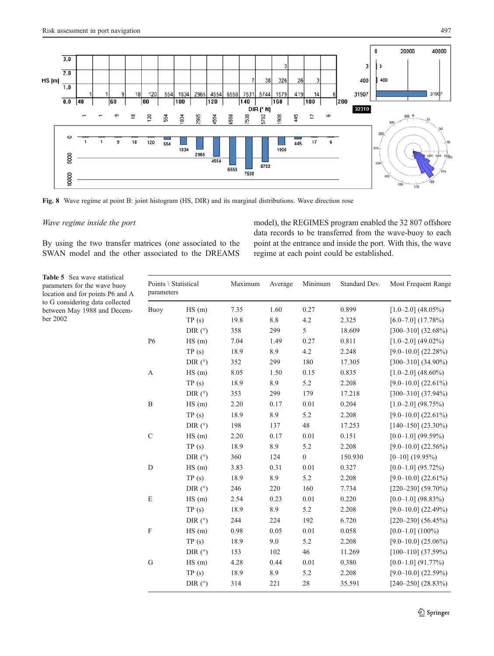<span id="page-8-0"></span>

Fig. 8 Wave regime at point B: joint histogram (HS, DIR) and its marginal distributions. Wave direction rose

Wave regime inside the port

By using the two transfer matrices (one associated to the SWAN model and the other associated to the DREAMS model), the REGIMES program enabled the 32 807 offshore data records to be transferred from the wave-buoy to each point at the entrance and inside the port. With this, the wave regime at each point could be established.

Table 5 Sea wave statistical parameters for the wave buoy location and for points P6 and A to G considering data collected between May 1988 and December 2002

| Points \ Statistical<br>parameters |                | Maximum | Average | Minimum          | Standard Dev. | Most Frequent Range       |
|------------------------------------|----------------|---------|---------|------------------|---------------|---------------------------|
| Buoy                               | HS(m)          | 7.35    | 1.60    | 0.27             | 0.899         | $[1.0 - 2.0]$ (48.05%)    |
|                                    | TP(s)          | 19.8    | 8.8     | 4.2              | 2.325         | $[6.0 - 7.0] (17.78\%)$   |
|                                    | DIR $(°)$      | 358     | 299     | 5                | 18.609        | $[300 - 310]$ $(32.68\%)$ |
| P <sub>6</sub>                     | HS(m)          | 7.04    | 1.49    | 0.27             | 0.811         | $[1.0-2.0]$ (49.02%)      |
|                                    | TP(s)          | 18.9    | 8.9     | 4.2              | 2.248         | $[9.0 - 10.0]$ (22.28%)   |
|                                    | DIR $(°)$      | 352     | 299     | 180              | 17.305        | $[300-310]$ $(34.90\%)$   |
| A                                  | HS(m)          | 8.05    | 1.50    | 0.15             | 0.835         | $[1.0-2.0]$ (48.60%)      |
|                                    | TP(s)          | 18.9    | 8.9     | 5.2              | 2.208         | $[9.0 - 10.0]$ (22.61%)   |
|                                    | DIR $(°)$      | 353     | 299     | 179              | 17.218        | $[300 - 310]$ $(37.94\%)$ |
| B                                  | HS(m)          | 2.20    | 0.17    | 0.01             | 0.204         | $[1.0-2.0]$ (98.75%)      |
|                                    | TP(s)          | 18.9    | 8.9     | 5.2              | 2.208         | $[9.0 - 10.0]$ (22.61%)   |
|                                    | DIR $(°)$      | 198     | 137     | 48               | 17.253        | $[140-150]$ (23.30%)      |
| $\mathcal{C}$                      | HS(m)          | 2.20    | 0.17    | 0.01             | 0.151         | $[0.0-1.0]$ (99.59%)      |
|                                    | TP(s)          | 18.9    | 8.9     | 5.2              | 2.208         | $[9.0 - 10.0]$ (22.56%)   |
|                                    | DIR $(°)$      | 360     | 124     | $\boldsymbol{0}$ | 150.930       | $[0-10]$ (19.95%)         |
| D                                  | HS(m)          | 3.83    | 0.31    | 0.01             | 0.327         | $[0.0-1.0]$ (95.72%)      |
|                                    | TP(s)          | 18.9    | 8.9     | 5.2              | 2.208         | $[9.0 - 10.0]$ (22.61%)   |
|                                    | DIR $(°)$      | 246     | 220     | 160              | 7.734         | $[220-230]$ (59.70%)      |
| E                                  | HS(m)          | 2.54    | 0.23    | 0.01             | 0.220         | $[0.0 - 1.0]$ (98.83%)    |
|                                    | TP(s)          | 18.9    | 8.9     | 5.2              | 2.208         | $[9.0 - 10.0]$ (22.49%)   |
|                                    | DIR $(°)$      | 244     | 224     | 192              | 6.720         | $[220-230]$ (56.45%)      |
| F                                  | HS(m)          | 0.98    | 0.05    | 0.01             | 0.058         | $[0.0-1.0]$ $(100\%)$     |
|                                    | TP(s)          | 18.9    | 9.0     | 5.2              | 2.208         | $[9.0 - 10.0]$ (25.06%)   |
|                                    | DIR $(°)$      | 153     | 102     | 46               | 11.269        | $[100-110]$ (37.59%)      |
| G                                  | HS(m)          | 4.28    | 0.44    | 0.01             | 0.380         | $[0.0-1.0]$ (91.77%)      |
|                                    | TP(s)          | 18.9    | 8.9     | 5.2              | 2.208         | $[9.0 - 10.0]$ (22.59%)   |
|                                    | DIR $(^\circ)$ | 314     | 221     | 28               | 35.591        | $[240 - 250]$ $(28.83\%)$ |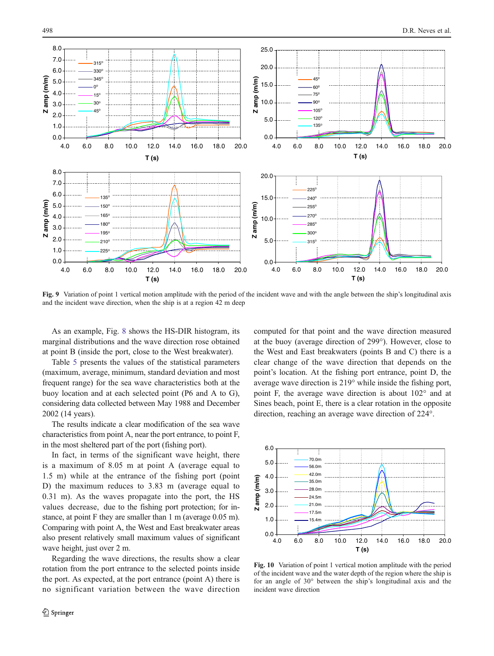<span id="page-9-0"></span>

Fig. 9 Variation of point 1 vertical motion amplitude with the period of the incident wave and with the angle between the ship's longitudinal axis and the incident wave direction, when the ship is at a region 42 m deep

As an example, Fig. [8](#page-8-0) shows the HS-DIR histogram, its marginal distributions and the wave direction rose obtained at point B (inside the port, close to the West breakwater).

Table [5](#page-8-0) presents the values of the statistical parameters (maximum, average, minimum, standard deviation and most frequent range) for the sea wave characteristics both at the buoy location and at each selected point (P6 and A to G), considering data collected between May 1988 and December 2002 (14 years).

The results indicate a clear modification of the sea wave characteristics from point A, near the port entrance, to point F, in the most sheltered part of the port (fishing port).

In fact, in terms of the significant wave height, there is a maximum of 8.05 m at point A (average equal to 1.5 m) while at the entrance of the fishing port (point D) the maximum reduces to 3.83 m (average equal to 0.31 m). As the waves propagate into the port, the HS values decrease, due to the fishing port protection; for instance, at point F they are smaller than 1 m (average 0.05 m). Comparing with point A, the West and East breakwater areas also present relatively small maximum values of significant wave height, just over 2 m.

Regarding the wave directions, the results show a clear rotation from the port entrance to the selected points inside the port. As expected, at the port entrance (point A) there is no significant variation between the wave direction computed for that point and the wave direction measured at the buoy (average direction of 299°). However, close to the West and East breakwaters (points B and C) there is a clear change of the wave direction that depends on the point's location. At the fishing port entrance, point D, the average wave direction is 219° while inside the fishing port, point F, the average wave direction is about 102° and at Sines beach, point E, there is a clear rotation in the opposite direction, reaching an average wave direction of 224°.



Fig. 10 Variation of point 1 vertical motion amplitude with the period of the incident wave and the water depth of the region where the ship is for an angle of 30° between the ship's longitudinal axis and the incident wave direction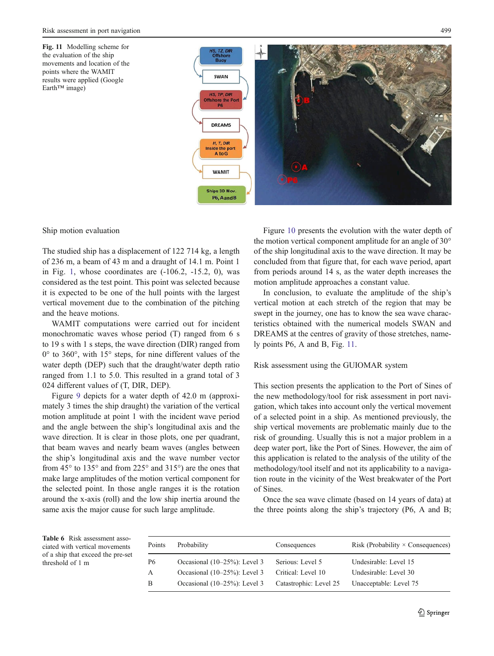<span id="page-10-0"></span>Fig. 11 Modelling scheme for the evaluation of the ship movements and location of the points where the WAMIT results were applied (Google Earth™ image)



#### Ship motion evaluation

The studied ship has a displacement of 122 714 kg, a length of 236 m, a beam of 43 m and a draught of 14.1 m. Point 1 in Fig. [1,](#page-2-0) whose coordinates are  $(-106.2, -15.2, 0)$ , was considered as the test point. This point was selected because it is expected to be one of the hull points with the largest vertical movement due to the combination of the pitching and the heave motions.

WAMIT computations were carried out for incident monochromatic waves whose period (T) ranged from 6 s to 19 s with 1 s steps, the wave direction (DIR) ranged from 0° to 360°, with 15° steps, for nine different values of the water depth (DEP) such that the draught/water depth ratio ranged from 1.1 to 5.0. This resulted in a grand total of 3 024 different values of (T, DIR, DEP).

Figure [9](#page-9-0) depicts for a water depth of 42.0 m (approximately 3 times the ship draught) the variation of the vertical motion amplitude at point 1 with the incident wave period and the angle between the ship's longitudinal axis and the wave direction. It is clear in those plots, one per quadrant, that beam waves and nearly beam waves (angles between the ship's longitudinal axis and the wave number vector from 45° to 135° and from 225° and 315°) are the ones that make large amplitudes of the motion vertical component for the selected point. In those angle ranges it is the rotation around the x-axis (roll) and the low ship inertia around the same axis the major cause for such large amplitude.

Figure [10](#page-9-0) presents the evolution with the water depth of the motion vertical component amplitude for an angle of 30° of the ship longitudinal axis to the wave direction. It may be concluded from that figure that, for each wave period, apart from periods around 14 s, as the water depth increases the motion amplitude approaches a constant value.

In conclusion, to evaluate the amplitude of the ship's vertical motion at each stretch of the region that may be swept in the journey, one has to know the sea wave characteristics obtained with the numerical models SWAN and DREAMS at the centres of gravity of those stretches, namely points P6, A and B, Fig. 11.

## Risk assessment using the GUIOMAR system

This section presents the application to the Port of Sines of the new methodology/tool for risk assessment in port navigation, which takes into account only the vertical movement of a selected point in a ship. As mentioned previously, the ship vertical movements are problematic mainly due to the risk of grounding. Usually this is not a major problem in a deep water port, like the Port of Sines. However, the aim of this application is related to the analysis of the utility of the methodology/tool itself and not its applicability to a navigation route in the vicinity of the West breakwater of the Port of Sines.

Once the sea wave climate (based on 14 years of data) at the three points along the ship's trajectory (P6, A and B;

Table 6 Risk assessment associated with vertical movements of a ship that exceed the pre-set threshold of 1 m

| Points | Probability                      | Consequences           | Risk (Probability $\times$ Consequences) |
|--------|----------------------------------|------------------------|------------------------------------------|
| P6     | Occasional $(10-25\%)$ : Level 3 | Serious: Level 5       | Undesirable: Level 15                    |
| A      | Occasional $(10-25\%)$ : Level 3 | Critical: Level 10     | Undesirable: Level 30                    |
| B      | Occasional $(10-25\%)$ : Level 3 | Catastrophic: Level 25 | Unacceptable: Level 75                   |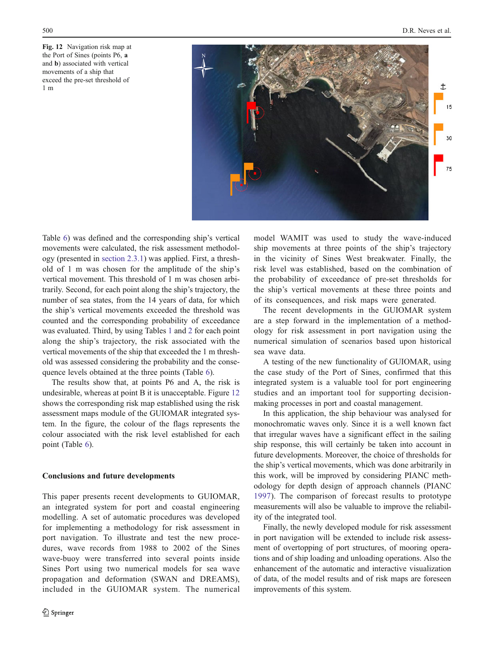Fig. 12 Navigation risk map at the Port of Sines (points P6, a and b) associated with vertical movements of a ship that exceed the pre-set threshold of 1 m



Table [6](#page-10-0)) was defined and the corresponding ship's vertical movements were calculated, the risk assessment methodology (presented in [section 2.3.1](#page-2-0)) was applied. First, a threshold of 1 m was chosen for the amplitude of the ship's vertical movement. This threshold of 1 m was chosen arbitrarily. Second, for each point along the ship's trajectory, the number of sea states, from the 14 years of data, for which the ship's vertical movements exceeded the threshold was counted and the corresponding probability of exceedance was evaluated. Third, by using Tables [1](#page-3-0) and [2](#page-4-0) for each point along the ship's trajectory, the risk associated with the vertical movements of the ship that exceeded the 1 m threshold was assessed considering the probability and the consequence levels obtained at the three points (Table [6](#page-10-0)).

The results show that, at points P6 and A, the risk is undesirable, whereas at point B it is unacceptable. Figure 12 shows the corresponding risk map established using the risk assessment maps module of the GUIOMAR integrated system. In the figure, the colour of the flags represents the colour associated with the risk level established for each point (Table [6](#page-10-0)).

#### Conclusions and future developments

This paper presents recent developments to GUIOMAR, an integrated system for port and coastal engineering modelling. A set of automatic procedures was developed for implementing a methodology for risk assessment in port navigation. To illustrate and test the new procedures, wave records from 1988 to 2002 of the Sines wave-buoy were transferred into several points inside Sines Port using two numerical models for sea wave propagation and deformation (SWAN and DREAMS), included in the GUIOMAR system. The numerical

model WAMIT was used to study the wave-induced ship movements at three points of the ship's trajectory in the vicinity of Sines West breakwater. Finally, the risk level was established, based on the combination of the probability of exceedance of pre-set thresholds for the ship's vertical movements at these three points and of its consequences, and risk maps were generated.

The recent developments in the GUIOMAR system are a step forward in the implementation of a methodology for risk assessment in port navigation using the numerical simulation of scenarios based upon historical sea wave data.

A testing of the new functionality of GUIOMAR, using the case study of the Port of Sines, confirmed that this integrated system is a valuable tool for port engineering studies and an important tool for supporting decisionmaking processes in port and coastal management.

In this application, the ship behaviour was analysed for monochromatic waves only. Since it is a well known fact that irregular waves have a significant effect in the sailing ship response, this will certainly be taken into account in future developments. Moreover, the choice of thresholds for the ship's vertical movements, which was done arbitrarily in this work, will be improved by considering PIANC methodology for depth design of approach channels (PIANC [1997\)](#page-12-0). The comparison of forecast results to prototype measurements will also be valuable to improve the reliability of the integrated tool.

Finally, the newly developed module for risk assessment in port navigation will be extended to include risk assessment of overtopping of port structures, of mooring operations and of ship loading and unloading operations. Also the enhancement of the automatic and interactive visualization of data, of the model results and of risk maps are foreseen improvements of this system.